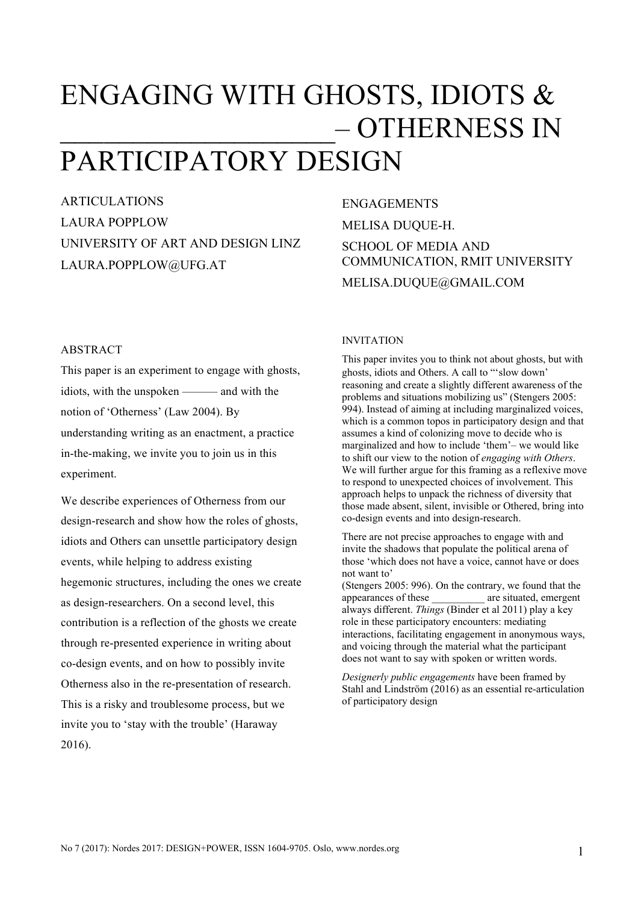# ENGAGING WITH GHOSTS, IDIOTS & \_\_\_\_\_\_\_\_\_\_\_\_\_\_\_\_\_\_\_– OTHERNESS IN PARTICIPATORY DESIGN

ARTICULATIONS LAURA POPPLOW UNIVERSITY OF ART AND DESIGN LINZ LAURA.POPPLOW@UFG.AT

## ENGAGEMENTS MELISA DUQUE-H. SCHOOL OF MEDIA AND COMMUNICATION, RMIT UNIVERSITY MELISA.DUQUE@GMAIL.COM

### ABSTRACT

This paper is an experiment to engage with ghosts, idiots, with the unspoken –––––– and with the notion of 'Otherness' (Law 2004). By understanding writing as an enactment, a practice in-the-making, we invite you to join us in this experiment.

We describe experiences of Otherness from our design-research and show how the roles of ghosts, idiots and Others can unsettle participatory design events, while helping to address existing hegemonic structures, including the ones we create as design-researchers. On a second level, this contribution is a reflection of the ghosts we create through re-presented experience in writing about co-design events, and on how to possibly invite Otherness also in the re-presentation of research. This is a risky and troublesome process, but we invite you to 'stay with the trouble' (Haraway 2016).

#### INVITATION

This paper invites you to think not about ghosts, but with ghosts, idiots and Others. A call to "'slow down' reasoning and create a slightly different awareness of the problems and situations mobilizing us" (Stengers 2005: 994). Instead of aiming at including marginalized voices, which is a common topos in participatory design and that assumes a kind of colonizing move to decide who is marginalized and how to include 'them'– we would like to shift our view to the notion of *engaging with Others*. We will further argue for this framing as a reflexive move to respond to unexpected choices of involvement. This approach helps to unpack the richness of diversity that those made absent, silent, invisible or Othered, bring into co-design events and into design-research.

There are not precise approaches to engage with and invite the shadows that populate the political arena of those 'which does not have a voice, cannot have or does not want to'

(Stengers 2005: 996). On the contrary, we found that the appearances of these \_\_\_\_\_\_\_\_\_\_ are situated, emergent always different. *Things* (Binder et al 2011) play a key role in these participatory encounters: mediating interactions, facilitating engagement in anonymous ways, and voicing through the material what the participant does not want to say with spoken or written words.

*Designerly public engagements* have been framed by Stahl and Lindström (2016) as an essential re-articulation of participatory design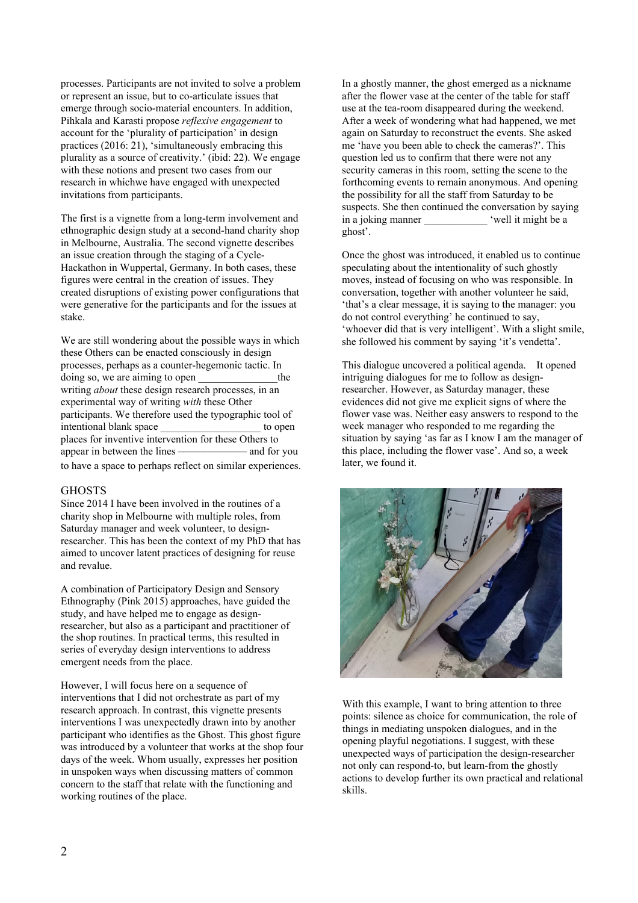processes. Participants are not invited to solve a problem or represent an issue, but to co-articulate issues that emerge through socio-material encounters. In addition, Pihkala and Karasti propose *reflexive engagement* to account for the 'plurality of participation' in design practices (2016: 21), 'simultaneously embracing this plurality as a source of creativity.' (ibid: 22). We engage with these notions and present two cases from our research in whichwe have engaged with unexpected invitations from participants.

The first is a vignette from a long-term involvement and ethnographic design study at a second-hand charity shop in Melbourne, Australia. The second vignette describes an issue creation through the staging of a Cycle-Hackathon in Wuppertal, Germany. In both cases, these figures were central in the creation of issues. They created disruptions of existing power configurations that were generative for the participants and for the issues at stake.

We are still wondering about the possible ways in which these Others can be enacted consciously in design processes, perhaps as a counter-hegemonic tactic. In doing so, we are aiming to open the writing *about* these design research processes, in an experimental way of writing *with* these Other participants. We therefore used the typographic tool of intentional blank space to open places for inventive intervention for these Others to appear in between the lines ––––––––––––– and for you to have a space to perhaps reflect on similar experiences.

#### **GHOSTS**

Since 2014 I have been involved in the routines of a charity shop in Melbourne with multiple roles, from Saturday manager and week volunteer, to designresearcher. This has been the context of my PhD that has aimed to uncover latent practices of designing for reuse and revalue.

A combination of Participatory Design and Sensory Ethnography (Pink 2015) approaches, have guided the study, and have helped me to engage as designresearcher, but also as a participant and practitioner of the shop routines. In practical terms, this resulted in series of everyday design interventions to address emergent needs from the place.

However, I will focus here on a sequence of interventions that I did not orchestrate as part of my research approach. In contrast, this vignette presents interventions I was unexpectedly drawn into by another participant who identifies as the Ghost. This ghost figure was introduced by a volunteer that works at the shop four days of the week. Whom usually, expresses her position in unspoken ways when discussing matters of common concern to the staff that relate with the functioning and working routines of the place.

In a ghostly manner, the ghost emerged as a nickname after the flower vase at the center of the table for staff use at the tea-room disappeared during the weekend. After a week of wondering what had happened, we met again on Saturday to reconstruct the events. She asked me 'have you been able to check the cameras?'. This question led us to confirm that there were not any security cameras in this room, setting the scene to the forthcoming events to remain anonymous. And opening the possibility for all the staff from Saturday to be suspects. She then continued the conversation by saying in a joking manner  $\ddot{\text{w}}$  well it might be a ghost'.

Once the ghost was introduced, it enabled us to continue speculating about the intentionality of such ghostly moves, instead of focusing on who was responsible. In conversation, together with another volunteer he said, 'that's a clear message, it is saying to the manager: you do not control everything' he continued to say, 'whoever did that is very intelligent'. With a slight smile, she followed his comment by saying 'it's vendetta'.

This dialogue uncovered a political agenda. It opened intriguing dialogues for me to follow as designresearcher. However, as Saturday manager, these evidences did not give me explicit signs of where the flower vase was. Neither easy answers to respond to the week manager who responded to me regarding the situation by saying 'as far as I know I am the manager of this place, including the flower vase'. And so, a week later, we found it.



With this example, I want to bring attention to three points: silence as choice for communication, the role of things in mediating unspoken dialogues, and in the opening playful negotiations. I suggest, with these unexpected ways of participation the design-researcher not only can respond-to, but learn-from the ghostly actions to develop further its own practical and relational skills.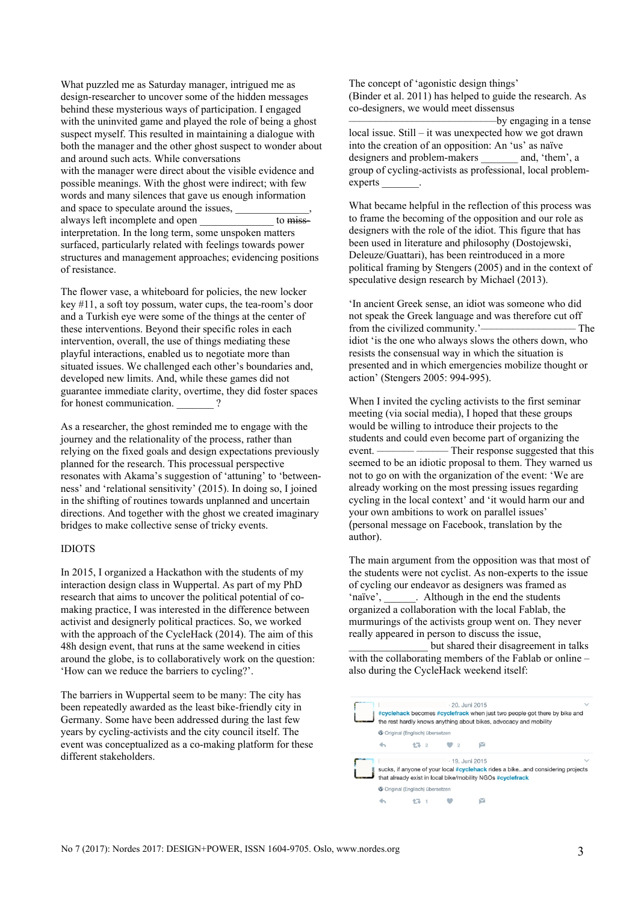What puzzled me as Saturday manager, intrigued me as design-researcher to uncover some of the hidden messages behind these mysterious ways of participation. I engaged with the uninvited game and played the role of being a ghost suspect myself. This resulted in maintaining a dialogue with both the manager and the other ghost suspect to wonder about and around such acts. While conversations with the manager were direct about the visible evidence and possible meanings. With the ghost were indirect; with few words and many silences that gave us enough information and space to speculate around the issues. always left incomplete and open to missinterpretation. In the long term, some unspoken matters surfaced, particularly related with feelings towards power structures and management approaches; evidencing positions of resistance.

The flower vase, a whiteboard for policies, the new locker key #11, a soft toy possum, water cups, the tea-room's door and a Turkish eye were some of the things at the center of these interventions. Beyond their specific roles in each intervention, overall, the use of things mediating these playful interactions, enabled us to negotiate more than situated issues. We challenged each other's boundaries and, developed new limits. And, while these games did not guarantee immediate clarity, overtime, they did foster spaces for honest communication.  $\frac{1}{2}$ 

As a researcher, the ghost reminded me to engage with the journey and the relationality of the process, rather than relying on the fixed goals and design expectations previously planned for the research. This processual perspective resonates with Akama's suggestion of 'attuning' to 'betweenness' and 'relational sensitivity' (2015). In doing so, I joined in the shifting of routines towards unplanned and uncertain directions. And together with the ghost we created imaginary bridges to make collective sense of tricky events.

#### IDIOTS

In 2015, I organized a Hackathon with the students of my interaction design class in Wuppertal. As part of my PhD research that aims to uncover the political potential of comaking practice, I was interested in the difference between activist and designerly political practices. So, we worked with the approach of the CycleHack (2014). The aim of this 48h design event, that runs at the same weekend in cities around the globe, is to collaboratively work on the question: 'How can we reduce the barriers to cycling?'.

The barriers in Wuppertal seem to be many: The city has been repeatedly awarded as the least bike-friendly city in Germany. Some have been addressed during the last few years by cycling-activists and the city council itself. The event was conceptualized as a co-making platform for these different stakeholders.

The concept of 'agonistic design things' (Binder et al. 2011) has helped to guide the research. As co-designers, we would meet dissensus

––––––––––––––––––––––––––––by engaging in a tense local issue. Still – it was unexpected how we got drawn into the creation of an opposition: An 'us' as naïve designers and problem-makers and, 'them', a group of cycling-activists as professional, local problemexperts

What became helpful in the reflection of this process was to frame the becoming of the opposition and our role as designers with the role of the idiot. This figure that has been used in literature and philosophy (Dostojewski, Deleuze/Guattari), has been reintroduced in a more political framing by Stengers (2005) and in the context of speculative design research by Michael (2013).

'In ancient Greek sense, an idiot was someone who did not speak the Greek language and was therefore cut off from the civilized community.'–––––––––––––––––– The idiot 'is the one who always slows the others down, who resists the consensual way in which the situation is presented and in which emergencies mobilize thought or action' (Stengers 2005: 994-995).

When I invited the cycling activists to the first seminar meeting (via social media), I hoped that these groups would be willing to introduce their projects to the students and could even become part of organizing the event. ––––––– –––––– Their response suggested that this seemed to be an idiotic proposal to them. They warned us not to go on with the organization of the event: 'We are already working on the most pressing issues regarding cycling in the local context' and 'it would harm our and your own ambitions to work on parallel issues' (personal message on Facebook, translation by the author).

The main argument from the opposition was that most of the students were not cyclist. As non-experts to the issue of cycling our endeavor as designers was framed as 'naïve', Although in the end the students organized a collaboration with the local Fablab, the murmurings of the activists group went on. They never really appeared in person to discuss the issue,

but shared their disagreement in talks with the collaborating members of the Fablab or online – also during the CycleHack weekend itself:

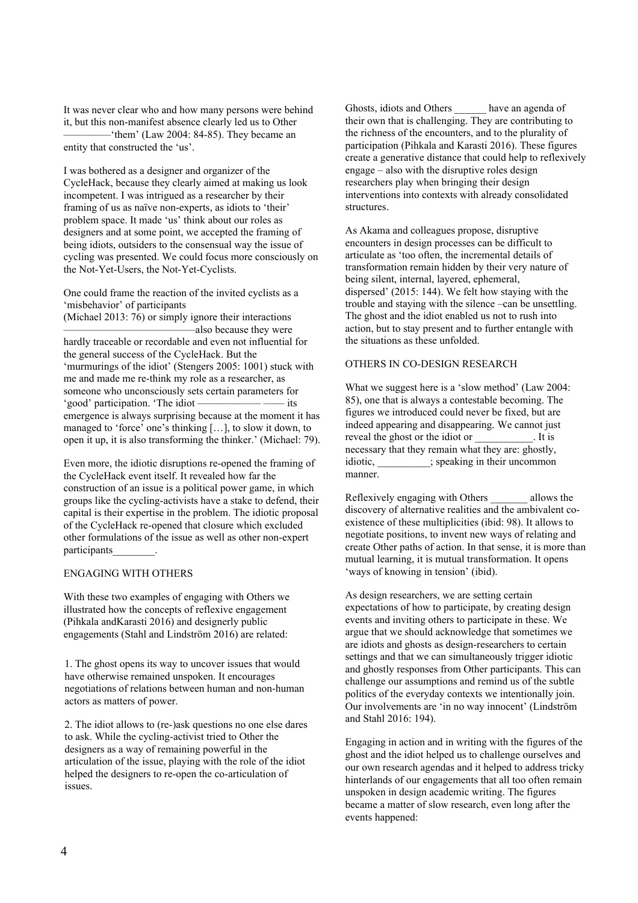It was never clear who and how many persons were behind it, but this non-manifest absence clearly led us to Other  $-$ 'them' (Law 2004: 84-85). They became an entity that constructed the 'us'.

I was bothered as a designer and organizer of the CycleHack, because they clearly aimed at making us look incompetent. I was intrigued as a researcher by their framing of us as naïve non-experts, as idiots to 'their' problem space. It made 'us' think about our roles as designers and at some point, we accepted the framing of being idiots, outsiders to the consensual way the issue of cycling was presented. We could focus more consciously on the Not-Yet-Users, the Not-Yet-Cyclists.

One could frame the reaction of the invited cyclists as a 'misbehavior' of participants (Michael 2013: 76) or simply ignore their interactions

–––––––––––––––––––––––––also because they were hardly traceable or recordable and even not influential for the general success of the CycleHack. But the 'murmurings of the idiot' (Stengers 2005: 1001) stuck with me and made me re-think my role as a researcher, as someone who unconsciously sets certain parameters for 'good' participation. 'The idiot –––––––––––– –––– its emergence is always surprising because at the moment it has managed to 'force' one's thinking […], to slow it down, to open it up, it is also transforming the thinker.' (Michael: 79).

Even more, the idiotic disruptions re-opened the framing of the CycleHack event itself. It revealed how far the construction of an issue is a political power game, in which groups like the cycling-activists have a stake to defend, their capital is their expertise in the problem. The idiotic proposal of the CycleHack re-opened that closure which excluded other formulations of the issue as well as other non-expert participants\_\_\_\_\_\_\_\_.

#### ENGAGING WITH OTHERS

With these two examples of engaging with Others we illustrated how the concepts of reflexive engagement (Pihkala andKarasti 2016) and designerly public engagements (Stahl and Lindström 2016) are related:

1. The ghost opens its way to uncover issues that would have otherwise remained unspoken. It encourages negotiations of relations between human and non-human actors as matters of power.

2. The idiot allows to (re-)ask questions no one else dares to ask. While the cycling-activist tried to Other the designers as a way of remaining powerful in the articulation of the issue, playing with the role of the idiot helped the designers to re-open the co-articulation of issues.

Ghosts, idiots and Others \_\_\_\_\_\_ have an agenda of their own that is challenging. They are contributing to the richness of the encounters, and to the plurality of participation (Pihkala and Karasti 2016). These figures create a generative distance that could help to reflexively engage – also with the disruptive roles design researchers play when bringing their design interventions into contexts with already consolidated structures.

As Akama and colleagues propose, disruptive encounters in design processes can be difficult to articulate as 'too often, the incremental details of transformation remain hidden by their very nature of being silent, internal, layered, ephemeral, dispersed' (2015: 144). We felt how staying with the trouble and staying with the silence –can be unsettling. The ghost and the idiot enabled us not to rush into action, but to stay present and to further entangle with the situations as these unfolded.

#### OTHERS IN CO-DESIGN RESEARCH

What we suggest here is a 'slow method' (Law 2004: 85), one that is always a contestable becoming. The figures we introduced could never be fixed, but are indeed appearing and disappearing. We cannot just reveal the ghost or the idiot or \_\_\_\_\_\_\_\_\_\_\_. It is necessary that they remain what they are: ghostly, idiotic, \_\_\_\_\_\_\_\_\_\_; speaking in their uncommon manner.

Reflexively engaging with Others allows the discovery of alternative realities and the ambivalent coexistence of these multiplicities (ibid: 98). It allows to negotiate positions, to invent new ways of relating and create Other paths of action. In that sense, it is more than mutual learning, it is mutual transformation. It opens 'ways of knowing in tension' (ibid).

As design researchers, we are setting certain expectations of how to participate, by creating design events and inviting others to participate in these. We argue that we should acknowledge that sometimes we are idiots and ghosts as design-researchers to certain settings and that we can simultaneously trigger idiotic and ghostly responses from Other participants. This can challenge our assumptions and remind us of the subtle politics of the everyday contexts we intentionally join. Our involvements are 'in no way innocent' (Lindström and Stahl 2016: 194).

Engaging in action and in writing with the figures of the ghost and the idiot helped us to challenge ourselves and our own research agendas and it helped to address tricky hinterlands of our engagements that all too often remain unspoken in design academic writing. The figures became a matter of slow research, even long after the events happened: